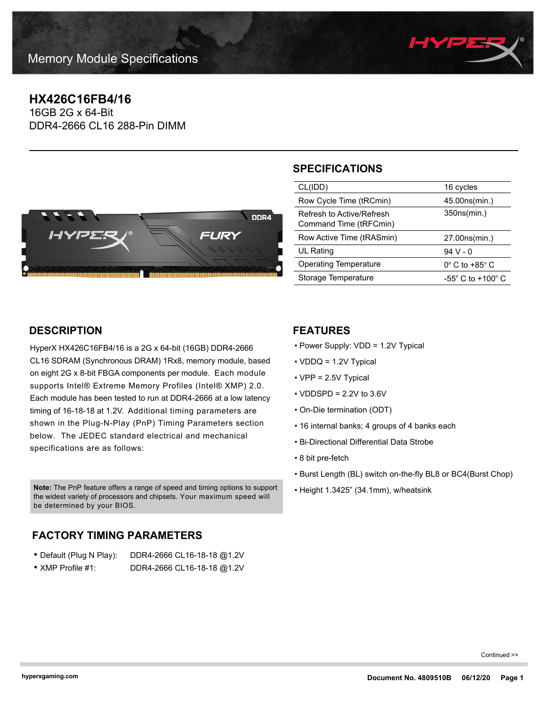

# **HX426C16FB4/16**

16GB 2G x 64-Bit DDR4-2666 CL16 288-Pin DIMM



### **SPECIFICATIONS**

| CL(IDD)                                             | 16 cycles                             |
|-----------------------------------------------------|---------------------------------------|
| Row Cycle Time (tRCmin)                             | 45.00ns(min.)                         |
| Refresh to Active/Refresh<br>Command Time (tRFCmin) | 350ns(min.)                           |
| Row Active Time (tRASmin)                           | 27.00ns(min.)                         |
| UL Rating                                           | 94 V - 0                              |
| Operating Temperature                               | $0^\circ$ C to +85 $^\circ$ C         |
| Storage Temperature                                 | -55 $^{\circ}$ C to +100 $^{\circ}$ C |
|                                                     |                                       |

### **DESCRIPTION**

HyperX HX426C16FB4/16 is a 2G x 64-bit (16GB) DDR4-2666 CL16 SDRAM (Synchronous DRAM) 1Rx8, memory module, based on eight 2G x 8-bit FBGA components per module. Each module supports Intel® Extreme Memory Profiles (Intel® XMP) 2.0. Each module has been tested to run at DDR4-2666 at a low latency timing of 16-18-18 at 1.2V. Additional timing parameters are shown in the Plug-N-Play (PnP) Timing Parameters section below. The JEDEC standard electrical and mechanical specifications are as follows:

• Height 1.3425" (34.1mm), w/heatsink **Note:** The PnP feature offers a range of speed and timing options to support the widest variety of processors and chipsets. Your maximum speed will be determined by your BIOS.

## **FACTORY TIMING PARAMETERS**

| • Default (Plug N Play):  | DDR4-2666 CL16-18-18 @1.2V |
|---------------------------|----------------------------|
| $\bullet$ XMP Profile #1: | DDR4-2666 CL16-18-18 @1.2V |

### **FEATURES**

- Power Supply: VDD = 1.2V Typical
- VDDQ = 1.2V Typical
- VPP = 2.5V Typical
- $\cdot$  VDDSPD = 2.2V to 3.6V
- On-Die termination (ODT)
- 16 internal banks; 4 groups of 4 banks each
- Bi-Directional Differential Data Strobe
- 8 bit pre-fetch
- Burst Length (BL) switch on-the-fly BL8 or BC4(Burst Chop)
- 

Continued >>